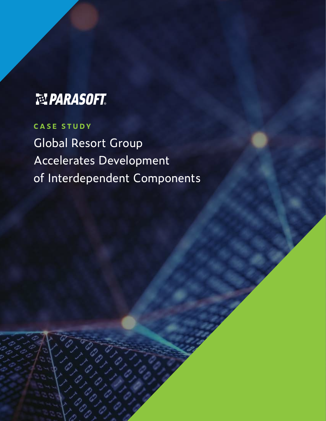# 型 PARASOFT.

## **CASE STUDY**

Global Resort Group Accelerates Development of Interdependent Components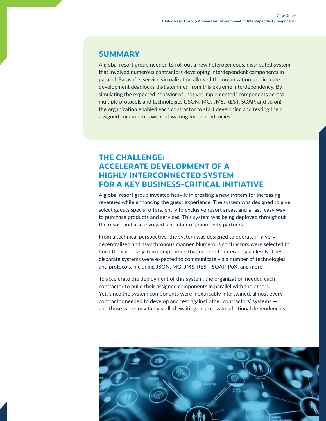#### **SUMMARY**

A global resort group needed to roll out a new heterogeneous, distributed system that involved numerous contractors developing interdependent components in parallel. Parasoft's service virtualization allowed the organization to eliminate development deadlocks that stemmed from this extreme interdependency. By simulating the expected behavior of "not yet implemented" components across multiple protocols and technologies (JSON, MQ, JMS, REST, SOAP, and so on), the organization enabled each contractor to start developing and testing their assigned components without waiting for dependencies.

#### **THE CHALLENGE: ACCELERATE DEVELOPMENT OF A HIGHLY INTERCONNECTED SYSTEM FOR A KEY BUSINESS-CRITICAL INITIATIVE**

A global resort group invested heavily in creating a new system for increasing revenues while enhancing the guest experience. The system was designed to give select guests special offers, entry to exclusive resort areas, and a fast, easy way to purchase products and services. This system was being deployed throughout the resort and also involved a number of community partners.

From a technical perspective, the system was designed to operate in a very decentralized and asynchronous manner. Numerous contractors were selected to build the various system components that needed to interact seamlessly. These disparate systems were expected to communicate via a number of technologies and protocols, including JSON, MQ, JMS, REST, SOAP, PoX, and more.

To accelerate the deployment of this system, the organization needed each contractor to build their assigned components in parallel with the others. Yet, since the system components were inextricably intertwined, almost every contractor needed to develop and test against other contractors' systems and those were inevitably stalled, waiting on access to additional dependencies.

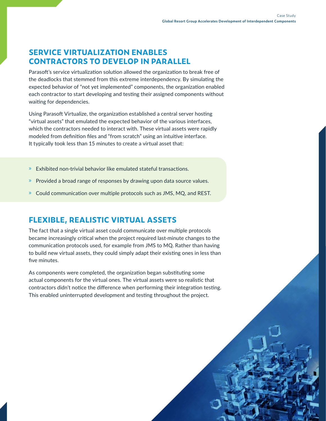**3**

#### **SERVICE VIRTUALIZATION ENABLES CONTRACTORS TO DEVELOP IN PARALLEL**

Parasoft's service virtualization solution allowed the organization to break free of the deadlocks that stemmed from this extreme interdependency. By simulating the expected behavior of "not yet implemented" components, the organization enabled each contractor to start developing and testing their assigned components without waiting for dependencies.

Using Parasoft Virtualize, the organization established a central server hosting "virtual assets" that emulated the expected behavior of the various interfaces, which the contractors needed to interact with. These virtual assets were rapidly modeled from definition files and "from scratch" using an intuitive interface. It typically took less than 15 minutes to create a virtual asset that:

- » Exhibited non-trivial behavior like emulated stateful transactions.
- » Provided a broad range of responses by drawing upon data source values.
- » Could communication over multiple protocols such as JMS, MQ, and REST.

### **FLEXIBLE, REALISTIC VIRTUAL ASSETS**

The fact that a single virtual asset could communicate over multiple protocols became increasingly critical when the project required last-minute changes to the communication protocols used, for example from JMS to MQ. Rather than having to build new virtual assets, they could simply adapt their existing ones in less than five minutes.

As components were completed, the organization began substituting some actual components for the virtual ones. The virtual assets were so realistic that contractors didn't notice the difference when performing their integration testing. This enabled uninterrupted development and testing throughout the project.